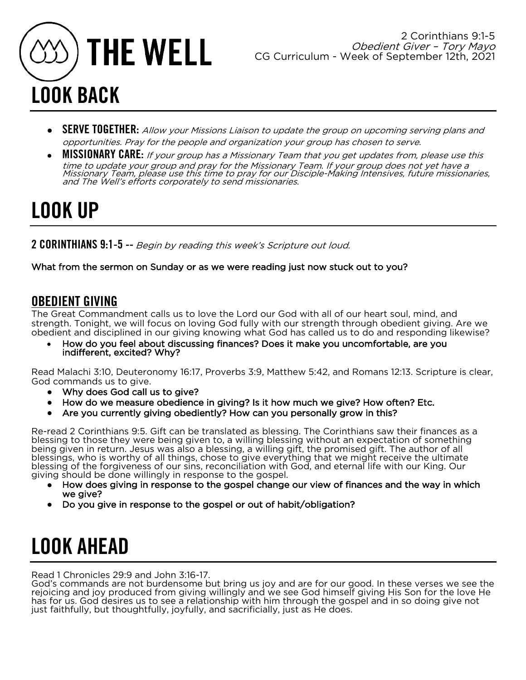

- SERVE TOGETHER: Allow your Missions Liaison to update the group on upcoming serving plans and opportunities. Pray for the people and organization your group has chosen to serve.
- **MISSIONARY CARE:** If your group has a Missionary Team that you get updates from, please use this time to update your group and pray for the Missionary Team. If your group does not yet have a Missionary Team, please use this time to pray for our Disciple-Making Intensives, future missionaries, and The Well's efforts corporately to send missionaries.

## LOOK UP

2 CORINTHIANS 9:1-5 -- Begin by reading this week's Scripture out loud.

What from the sermon on Sunday or as we were reading just now stuck out to you?

### OBEDIENT GIVING

The Great Commandment calls us to love the Lord our God with all of our heart soul, mind, and strength. Tonight, we will focus on loving God fully with our strength through obedient giving. Are we obedient and disciplined in our giving knowing what God has called us to do and responding likewise?

• How do you feel about discussing finances? Does it make you uncomfortable, are you indifferent, excited? Why?

Read Malachi 3:10, Deuteronomy 16:17, Proverbs 3:9, Matthew 5:42, and Romans 12:13. Scripture is clear, God commands us to give.

- Why does God call us to give?
- How do we measure obedience in giving? Is it how much we give? How often? Etc.
- Are you currently giving obediently? How can you personally grow in this?

Re-read 2 Corinthians 9:5. Gift can be translated as blessing. The Corinthians saw their finances as a blessing to those they were being given to, a willing blessing without an expectation of something being given in return. Jesus was also a blessing, a willing gift, the promised gift. The author of all blessings, who is worthy of all things, chose to give everything that we might receive the ultimate blessing of the forgiveness of our sins, reconciliation with God, and eternal life with our King. Our giving should be done willingly in response to the gospel.

- How does giving in response to the gospel change our view of finances and the way in which we give?
- Do you give in response to the gospel or out of habit/obligation?

## LOOK AHEAD

Read 1 Chronicles 29:9 and John 3:16-17.

God's commands are not burdensome but bring us joy and are for our good. In these verses we see the rejoicing and joy produced from giving willingly and we see God himself giving His Son for the love He has for us. God desires us to see a relationship with him through the gospel and in so doing give not just faithfully, but thoughtfully, joyfully, and sacrificially, just as He does.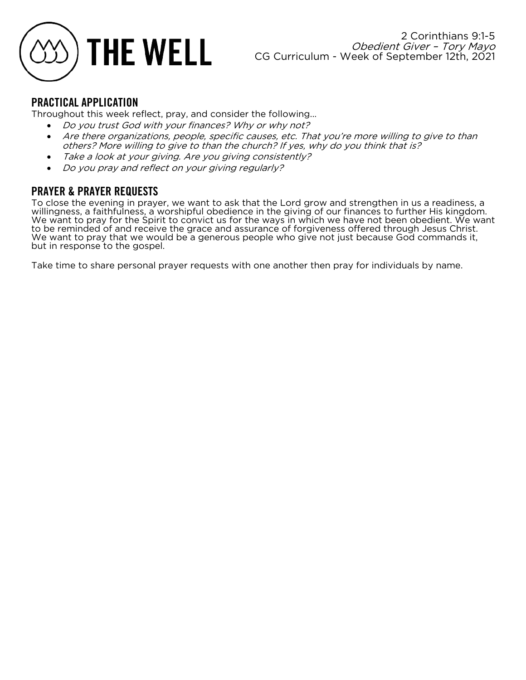

Throughout this week reflect, pray, and consider the following...

- Do you trust God with your finances? Why or why not?
- Are there organizations, people, specific causes, etc. That you're more willing to give to than others? More willing to give to than the church? If yes, why do you think that is?
- Take a look at your giving. Are you giving consistently?
- Do you pray and reflect on your giving regularly?

### PRAYER & PRAYER REQUESTS

To close the evening in prayer, we want to ask that the Lord grow and strengthen in us a readiness, a willingness, a faithfulness, a worshipful obedience in the giving of our finances to further His kingdom. We want to pray for the Spirit to convict us for the ways in which we have not been obedient. We want to be reminded of and receive the grace and assurance of forgiveness offered through Jesus Christ. We want to pray that we would be a generous people who give not just because God commands it, but in response to the gospel.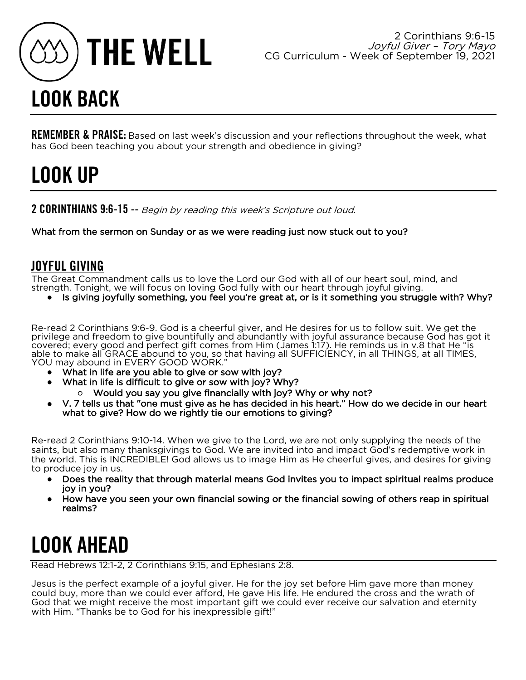

REMEMBER & PRAISE: Based on last week's discussion and your reflections throughout the week, what has God been teaching you about your strength and obedience in giving?

## LOOK UP

2 CORINTHIANS 9:6-15 -- Begin by reading this week's Scripture out loud.

What from the sermon on Sunday or as we were reading just now stuck out to you?

### JOYFUL GIVING

The Great Commandment calls us to love the Lord our God with all of our heart soul, mind, and strength. Tonight, we will focus on loving God fully with our heart through joyful giving.

Is giving joyfully something, you feel you're great at, or is it something you struggle with? Why?

Re-read 2 Corinthians 9:6-9. God is a cheerful giver, and He desires for us to follow suit. We get the privilege and freedom to give bountifully and abundantly with joyful assurance because God has got it covered; every good and perfect gift comes from Him (James 1:17). He reminds us in v.8 that He "is able to make all GRACE abound to you, so that having all SUFFICIENCY, in all THINGS, at all TIMES, YOU may abound in EVERY GOOD WORK."

- What in life are you able to give or sow with joy?
- What in life is difficult to give or sow with joy? Why?
	- Would you say you give financially with joy? Why or why not?
- V. 7 tells us that "one must give as he has decided in his heart." How do we decide in our heart what to give? How do we rightly tie our emotions to giving?

Re-read 2 Corinthians 9:10-14. When we give to the Lord, we are not only supplying the needs of the saints, but also many thanksgivings to God. We are invited into and impact God's redemptive work in the world. This is INCREDIBLE! God allows us to image Him as He cheerful gives, and desires for giving to produce joy in us.

- Does the reality that through material means God invites you to impact spiritual realms produce joy in you?
- How have you seen your own financial sowing or the financial sowing of others reap in spiritual realms?

## LOOK AHEAD

Read Hebrews 12:1-2, 2 Corinthians 9:15, and Ephesians 2:8.

Jesus is the perfect example of a joyful giver. He for the joy set before Him gave more than money could buy, more than we could ever afford, He gave His life. He endured the cross and the wrath of God that we might receive the most important gift we could ever receive our salvation and eternity with Him. "Thanks be to God for his inexpressible gift!"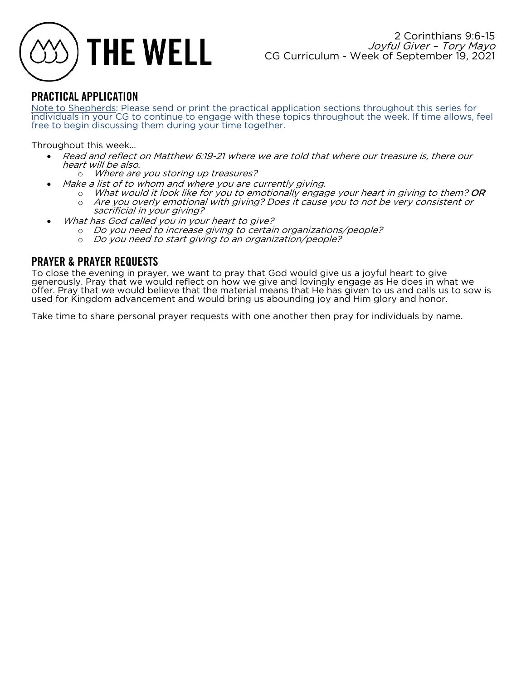

Note to Shepherds: Please send or print the practical application sections throughout this series for individuals in your CG to continue to engage with these topics throughout the week. If time allows, feel free to begin discussing them during your time together.

Throughout this week...

- Read and reflect on Matthew 6:19-21 where we are told that where our treasure is, there our heart will be also.
	- o Where are you storing up treasures?
- Make a list of to whom and where you are currently giving.
	- $\circ$  What would it look like for you to emotionally engage your heart in giving to them? OR o Are you overly emotional with giving? Does it cause you to not be very consistent or
	- sacrificial in your giving?
- What has God called you in your heart to give?
	- o Do you need to increase giving to certain organizations/people?
	- o Do you need to start giving to an organization/people?

### PRAYER & PRAYER REQUESTS

To close the evening in prayer, we want to pray that God would give us a joyful heart to give generously. Pray that we would reflect on how we give and lovingly engage as He does in what we offer. Pray that we would believe that the material means that He has given to us and calls us to sow is used for Kingdom advancement and would bring us abounding joy and Him glory and honor.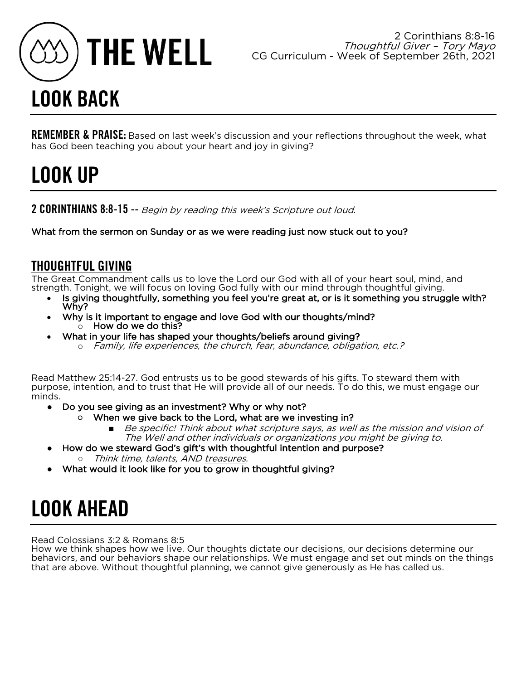

REMEMBER & PRAISE: Based on last week's discussion and your reflections throughout the week, what has God been teaching you about your heart and joy in giving?

## LOOK UP

2 CORINTHIANS 8:8-15 -- Begin by reading this week's Scripture out loud.

What from the sermon on Sunday or as we were reading just now stuck out to you?

### THOUGHTFUL GIVING

The Great Commandment calls us to love the Lord our God with all of your heart soul, mind, and strength. Tonight, we will focus on loving God fully with our mind through thoughtful giving.

- Is giving thoughtfully, something you feel you're great at, or is it something you struggle with?<br>Why?
- Why is it important to engage and love God with our thoughts/mind? o How do we do this?
	- What in your life has shaped your thoughts/beliefs around giving? o Family, life experiences, the church, fear, abundance, obligation, etc.?

Read Matthew 25:14-27. God entrusts us to be good stewards of his gifts. To steward them with purpose, intention, and to trust that He will provide all of our needs. To do this, we must engage our minds.

- Do you see giving as an investment? Why or why not?
	- When we give back to the Lord, what are we investing in?
		- Be specific! Think about what scripture says, as well as the mission and vision of The Well and other individuals or organizations you might be giving to.
- How do we steward God's gift's with thoughtful intention and purpose?
	- Think time, talents, AND treasures.
- What would it look like for you to grow in thoughtful giving?

## LOOK AHEAD

Read Colossians 3:2 & Romans 8:5

How we think shapes how we live. Our thoughts dictate our decisions, our decisions determine our behaviors, and our behaviors shape our relationships. We must engage and set out minds on the things that are above. Without thoughtful planning, we cannot give generously as He has called us.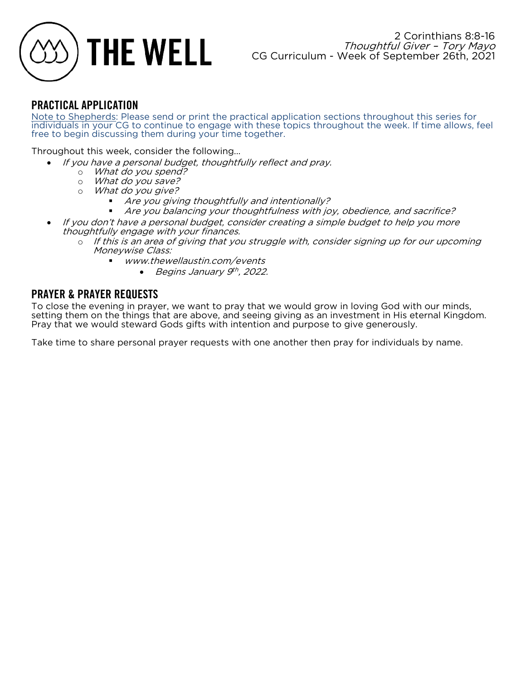

Note to Shepherds: Please send or print the practical application sections throughout this series for individuals in your CG to continue to engage with these topics throughout the week. If time allows, feel free to begin discussing them during your time together.

Throughout this week, consider the following...

- If you have a personal budget, thoughtfully reflect and pray.
	- o What do you spend?
	- o What do you save?
	- o What do you give?
		- § Are you giving thoughtfully and intentionally?
		- § Are you balancing your thoughtfulness with joy, obedience, and sacrifice?
- If you don't have a personal budget, consider creating a simple budget to help you more thoughtfully engage with your finances.
	- o If this is an area of giving that you struggle with, consider signing up for our upcoming Moneywise Class:
		- www.thewellaustin.com/events
			- Begins January  $9<sup>th</sup>$ , 2022.

### PRAYER & PRAYER REQUESTS

To close the evening in prayer, we want to pray that we would grow in loving God with our minds, setting them on the things that are above, and seeing giving as an investment in His eternal Kingdom. Pray that we would steward Gods gifts with intention and purpose to give generously.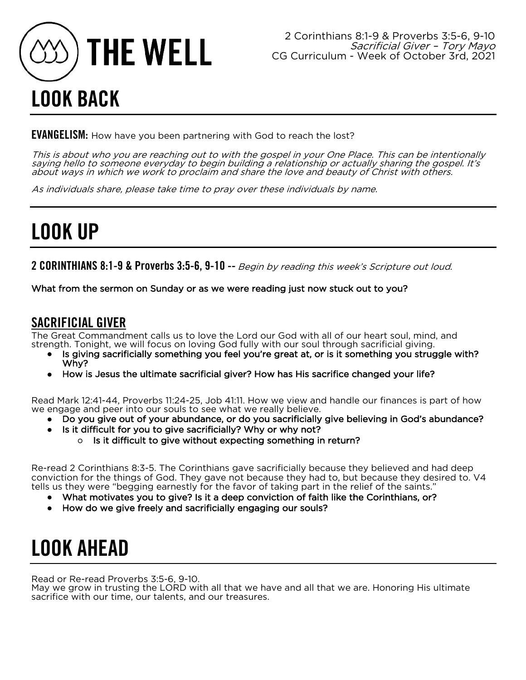

**EVANGELISM:** How have you been partnering with God to reach the lost?

This is about who you are reaching out to with the gospel in your One Place. This can be intentionally saying hello to someone everyday to begin building a relationship or actually sharing the gospel. It's about ways in which we work to proclaim and share the love and beauty of Christ with others.

As individuals share, please take time to pray over these individuals by name.

## LOOK UP

2 CORINTHIANS 8:1-9 & Proverbs 3:5-6, 9-10 -- Begin by reading this week's Scripture out loud.

What from the sermon on Sunday or as we were reading just now stuck out to you?

### SACRIFICIAL GIVER

The Great Commandment calls us to love the Lord our God with all of our heart soul, mind, and strength. Tonight, we will focus on loving God fully with our soul through sacrificial giving.

- Is giving sacrificially something you feel you're great at, or is it something you struggle with? Why?
- How is Jesus the ultimate sacrificial giver? How has His sacrifice changed your life?

Read Mark 12:41-44, Proverbs 11:24-25, Job 41:11. How we view and handle our finances is part of how we engage and peer into our souls to see what we really believe.

- Do you give out of your abundance, or do you sacrificially give believing in God's abundance?
- Is it difficult for you to give sacrificially? Why or why not?
	- Is it difficult to give without expecting something in return?

Re-read 2 Corinthians 8:3-5. The Corinthians gave sacrificially because they believed and had deep conviction for the things of God. They gave not because they had to, but because they desired to. V4 tells us they were "begging earnestly for the favor of taking part in the relief of the saints."

- What motivates you to give? Is it a deep conviction of faith like the Corinthians, or?
- How do we give freely and sacrificially engaging our souls?

## LOOK AHEAD

Read or Re-read Proverbs 3:5-6, 9-10.

May we grow in trusting the LORD with all that we have and all that we are. Honoring His ultimate sacrifice with our time, our talents, and our treasures.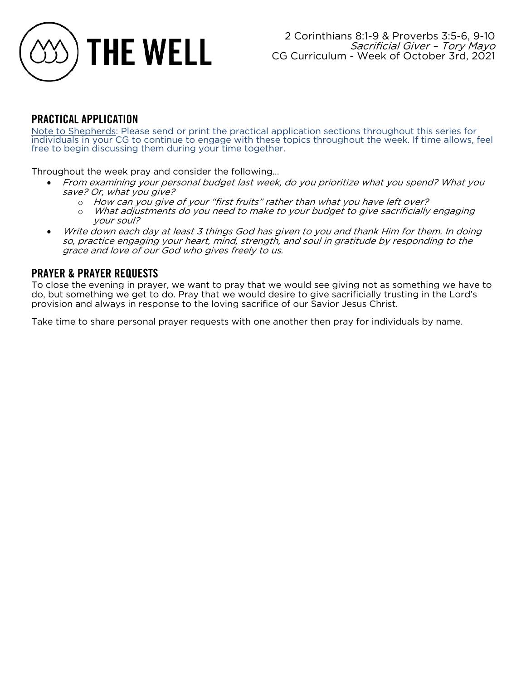

Note to Shepherds: Please send or print the practical application sections throughout this series for individuals in your CG to continue to engage with these topics throughout the week. If time allows, feel free to begin discussing them during your time together.

Throughout the week pray and consider the following...

- From examining your personal budget last week, do you prioritize what you spend? What you save? Or, what you give?
	- o How can you give of your "first fruits" rather than what you have left over?
	- o What adjustments do you need to make to your budget to give sacrificially engaging your soul?
- Write down each day at least 3 things God has given to you and thank Him for them. In doing so, practice engaging your heart, mind, strength, and soul in gratitude by responding to the grace and love of our God who gives freely to us.

### PRAYER & PRAYER REQUESTS

To close the evening in prayer, we want to pray that we would see giving not as something we have to do, but something we get to do. Pray that we would desire to give sacrificially trusting in the Lord's provision and always in response to the loving sacrifice of our Savior Jesus Christ.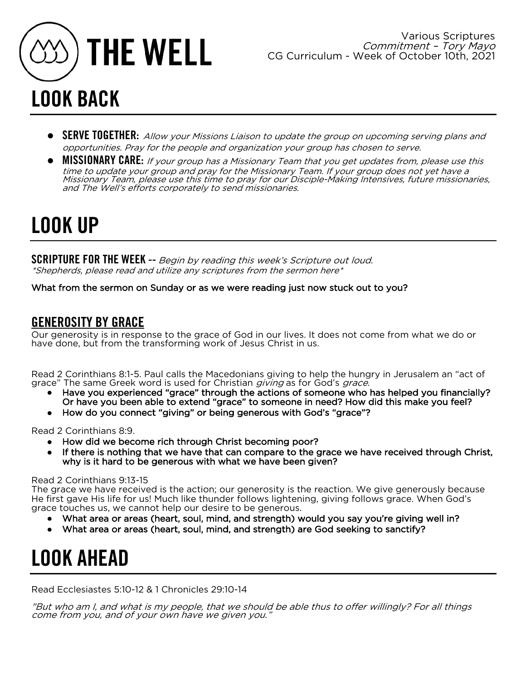

- **SERVE TOGETHER:** Allow your Missions Liaison to update the group on upcoming serving plans and opportunities. Pray for the people and organization your group has chosen to serve.
- MISSIONARY CARE: If your group has a Missionary Team that you get updates from, please use this time to update your group and pray for the Missionary Team. If your group does not yet have a Missionary Team, please use this time to pray for our Disciple-Making Intensives, future missionaries, and The Well's efforts corporately to send missionaries.

## LOOK UP

SCRIPTURE FOR THE WEEK -- Begin by reading this week's Scripture out loud. \*Shepherds, please read and utilize any scriptures from the sermon here\*

What from the sermon on Sunday or as we were reading just now stuck out to you?

### GENEROSITY BY GRACE

Our generosity is in response to the grace of God in our lives. It does not come from what we do or have done, but from the transforming work of Jesus Christ in us.

Read 2 Corinthians 8:1-5. Paul calls the Macedonians giving to help the hungry in Jerusalem an "act of grace" The same Greek word is used for Christian *giving* as for God's *grace*.

- Have you experienced "grace" through the actions of someone who has helped you financially? Or have you been able to extend "grace" to someone in need? How did this make you feel?
- How do you connect "giving" or being generous with God's "grace"?

Read 2 Corinthians 8:9.

- How did we become rich through Christ becoming poor?
- If there is nothing that we have that can compare to the grace we have received through Christ, why is it hard to be generous with what we have been given?

### Read 2 Corinthians 9:13-15

The grace we have received is the action; our generosity is the reaction. We give generously because He first gave His life for us! Much like thunder follows lightening, giving follows grace. When God's grace touches us, we cannot help our desire to be generous.

- What area or areas (heart, soul, mind, and strength) would you say you're giving well in?
- What area or areas (heart, soul, mind, and strength) are God seeking to sanctify?

## LOOK AHEAD

Read Ecclesiastes 5:10-12 & 1 Chronicles 29:10-14

"But who am I, and what is my people, that we should be able thus to offer willingly? For all things come from you, and of your own have we given you."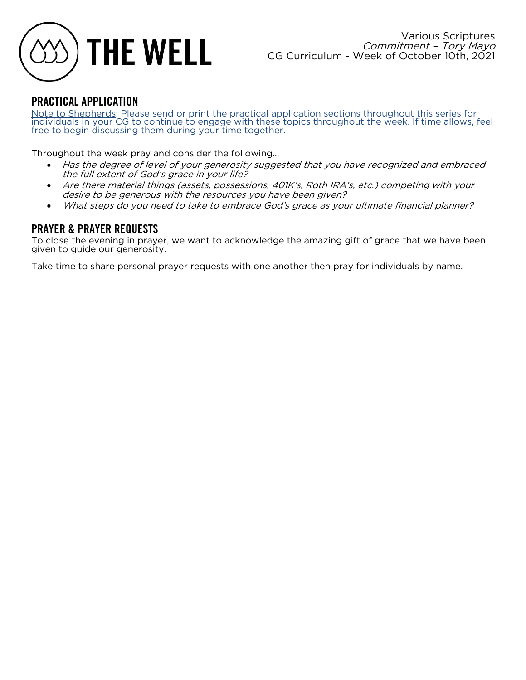

Note to Shepherds: Please send or print the practical application sections throughout this series for individuals in your CG to continue to engage with these topics throughout the week. If time allows, feel free to begin discussing them during your time together.

Throughout the week pray and consider the following...

- Has the degree of level of your generosity suggested that you have recognized and embraced the full extent of God's grace in your life?
- Are there material things (assets, possessions, 401K's, Roth IRA's, etc.) competing with your desire to be generous with the resources you have been given?
- What steps do you need to take to embrace God's grace as your ultimate financial planner?

### PRAYER & PRAYER REQUESTS

To close the evening in prayer, we want to acknowledge the amazing gift of grace that we have been given to guide our generosity.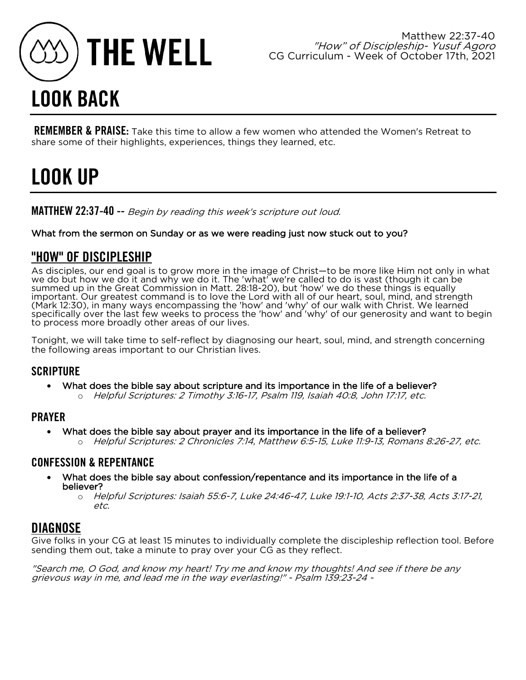

## LOOK BACK

**REMEMBER & PRAISE:** Take this time to allow a few women who attended the Women's Retreat to share some of their highlights, experiences, things they learned, etc.

## LOOK UP

MATTHEW 22:37-40 -- Begin by reading this week's scripture out loud.

### What from the sermon on Sunday or as we were reading just now stuck out to you?

### "HOW" OF DISCIPLESHIP

As disciples, our end goal is to grow more in the image of Christ—to be more like Him not only in what we do but how we do it and why we do it. The 'what' we're called to do is vast (though it can be summed up in the Great Commission in Matt. 28:18-20), but 'how' we do these things is equally important. Our greatest command is to love the Lord with all of our heart, soul, mind, and strength (Mark 12:30), in many ways encompassing the 'how' and 'why' of our walk with Christ. We learned specifically over the last few weeks to process the 'how' and 'why' of our generosity and want to begin to process more broadly other areas of our lives.

Tonight, we will take time to self-reflect by diagnosing our heart, soul, mind, and strength concerning the following areas important to our Christian lives.

### **SCRIPTURE**

- What does the bible say about scripture and its importance in the life of a believer?
	- o Helpful Scriptures: 2 Timothy 3:16-17, Psalm 119, Isaiah 40:8, John 17:17, etc.

### PRAYER

- What does the bible say about prayer and its importance in the life of a believer?
	- o Helpful Scriptures: 2 Chronicles 7:14, Matthew 6:5-15, Luke 11:9-13, Romans 8:26-27, etc.

### CONFESSION & REPENTANCE

- What does the bible say about confession/repentance and its importance in the life of a believer?
	- o Helpful Scriptures: Isaiah 55:6-7, Luke 24:46-47, Luke 19:1-10, Acts 2:37-38, Acts 3:17-21, etc.

### DIAGNOSE

Give folks in your CG at least 15 minutes to individually complete the discipleship reflection tool. Before sending them out, take a minute to pray over your CG as they reflect.

"Search me, O God, and know my heart! Try me and know my thoughts! And see if there be any grievous way in me, and lead me in the way everlasting!" - Psalm 139:23-24 -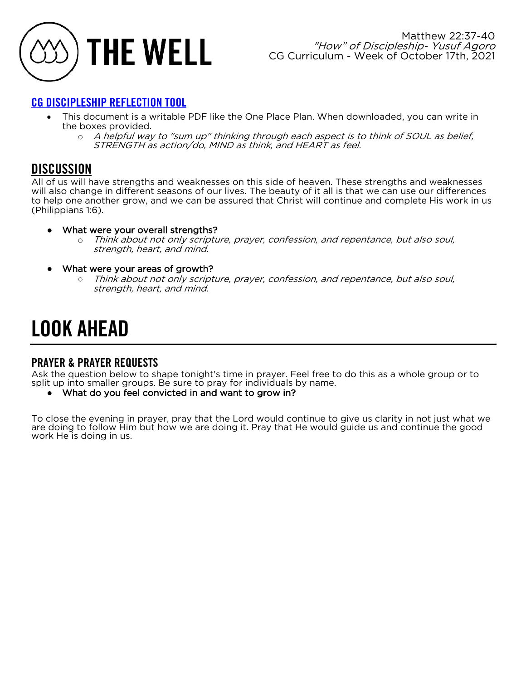

### [CG DISCIPLESHIP REFLECTION TOOL](https://www.dropbox.com/s/loa5g3078ghjk95/CG%20DISCIPLESHIP%20REFLECTION%20TOOL%20P1.pdf?dl=0)

- This document is a writable PDF like the One Place Plan. When downloaded, you can write in the boxes provided.
	- o A helpful way to "sum up" thinking through each aspect is to think of SOUL as belief, STRENGTH as action/do, MIND as think, and HEART as feel.

### **DISCUSSION**

All of us will have strengths and weaknesses on this side of heaven. These strengths and weaknesses will also change in different seasons of our lives. The beauty of it all is that we can use our differences to help one another grow, and we can be assured that Christ will continue and complete His work in us (Philippians 1:6).

- What were your overall strengths?
	- o Think about not only scripture, prayer, confession, and repentance, but also soul, strength, heart, and mind.
- What were your areas of growth?
	- Think about not only scripture, prayer, confession, and repentance, but also soul, strength, heart, and mind.

## LOOK AHEAD

### PRAYER & PRAYER REQUESTS

Ask the question below to shape tonight's time in prayer. Feel free to do this as a whole group or to split up into smaller groups. Be sure to pray for individuals by name.

What do you feel convicted in and want to grow in?

To close the evening in prayer, pray that the Lord would continue to give us clarity in not just what we are doing to follow Him but how we are doing it. Pray that He would guide us and continue the good work He is doing in us.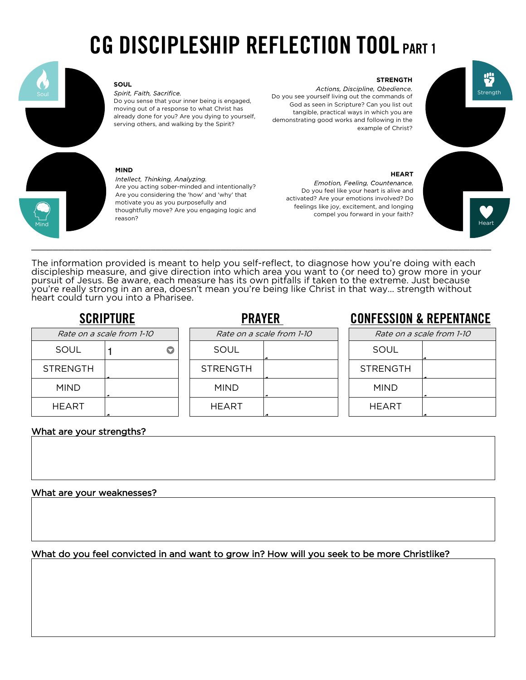## CG DISCIPLESHIP REFLECTION TOOL PART 1



### **SOUL**

Spirit, Faith, Sacrifice. Do you sense that your inner being is engaged, moving out of a response to what Christ has already done for you? Are you dying to yourself, serving others, and walking by the Spirit?

### **MIND**

Intellect, Thinking, Analyzing. Are you acting sober-minded and intentionally? Are you considering the 'how' and 'why' that motivate you as you purposefully and thoughtfully move? Are you engaging logic and reason?

### **STRENGTH**

Actions, Discipline, Obedience. Do you see yourself living out the commands of God as seen in Scripture? Can you list out tangible, practical ways in which you are demonstrating good works and following in the example of Christ?

### **HEART**

Emotion, Feeling, Countenance. Do you feel like your heart is alive and activated? Are your emotions involved? Do feelings like joy, excitement, and longing compel you forward in your faith?



The information provided is meant to help you self-reflect, to diagnose how you're doing with each discipleship measure, and give direction into which area you want to (or need to) grow more in your pursuit of Jesus. Be aware, each measure has its own pitfalls if taken to the extreme. Just because you're really strong in an area, doesn't mean you're being like Christ in that way… strength without heart could turn you into a Pharisee.

| Rate on a scale from 1-10 |  |  |  |  |  |
|---------------------------|--|--|--|--|--|
| SOUL                      |  |  |  |  |  |
| <b>STRENGTH</b>           |  |  |  |  |  |
| <b>MIND</b>               |  |  |  |  |  |
| <b>HEART</b>              |  |  |  |  |  |
|                           |  |  |  |  |  |

### SCRIPTURE **PRAYER** CONFESSION & REPENTANCE

| Rate on a scale from 1-10 |  | Rate on a scale from 1-10 |  | Rate on a scale from 1-10 |  |
|---------------------------|--|---------------------------|--|---------------------------|--|
| SOUL                      |  | SOUL                      |  | SOUL                      |  |
| STRENGTH                  |  | <b>STRENGTH</b>           |  | <b>STRENGTH</b>           |  |
| <b>MIND</b>               |  | <b>MIND</b>               |  | <b>MIND</b>               |  |
| HEART                     |  | HEART                     |  | <b>HEART</b>              |  |
|                           |  |                           |  |                           |  |

### What are your strengths?

### What are your weaknesses?

What do you feel convicted in and want to grow in? How will you seek to be more Christlike?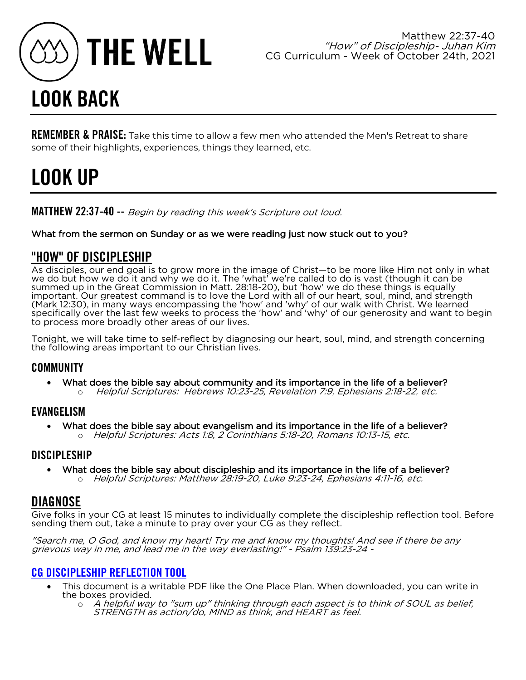

## LOOK BACK

REMEMBER & PRAISE: Take this time to allow a few men who attended the Men's Retreat to share some of their highlights, experiences, things they learned, etc.

## LOOK UP

MATTHEW 22:37-40 -- Begin by reading this week's Scripture out loud.

### What from the sermon on Sunday or as we were reading just now stuck out to you?

### "HOW" OF DISCIPLESHIP

As disciples, our end goal is to grow more in the image of Christ—to be more like Him not only in what we do but how we do it and why we do it. The 'what' we're called to do is vast (though it can be summed up in the Great Commission in Matt. 28:18-20), but 'how' we do these things is equally important. Our greatest command is to love the Lord with all of our heart, soul, mind, and strength (Mark 12:30), in many ways encompassing the 'how' and 'why' of our walk with Christ. We learned specifically over the last few weeks to process the 'how' and 'why' of our generosity and want to begin to process more broadly other areas of our lives.

Tonight, we will take time to self-reflect by diagnosing our heart, soul, mind, and strength concerning the following areas important to our Christian lives.

### **COMMUNITY**

• What does the bible say about community and its importance in the life of a believer? o Helpful Scriptures: Hebrews 10:23-25, Revelation 7:9, Ephesians 2:18-22, etc.

### EVANGELISM

• What does the bible say about evangelism and its importance in the life of a believer? o Helpful Scriptures: Acts 1:8, 2 Corinthians 5:18-20, Romans 10:13-15, etc.

### **DISCIPLESHIP**

• What does the bible say about discipleship and its importance in the life of a believer? o Helpful Scriptures: Matthew 28:19-20, Luke 9:23-24, Ephesians 4:11-16, etc.

### DIAGNOSE

Give folks in your CG at least 15 minutes to individually complete the discipleship reflection tool. Before sending them out, take a minute to pray over your CG as they reflect.

"Search me, O God, and know my heart! Try me and know my thoughts! And see if there be any grievous way in me, and lead me in the way everlasting!" - Psalm 139:23-24 -

### [CG DISCIPLESHIP REFLECTION TOOL](https://www.dropbox.com/s/va46ckpmenotvqi/CG%20DISCIPLESHIP%20REFLECTION%20TOOL%20P2.pdf?dl=0)

- This document is a writable PDF like the One Place Plan. When downloaded, you can write in the boxes provided.
	- o A helpful way to "sum up" thinking through each aspect is to think of SOUL as belief,<br>STRENGTH as action/do, MIND as think, and HEART as feel.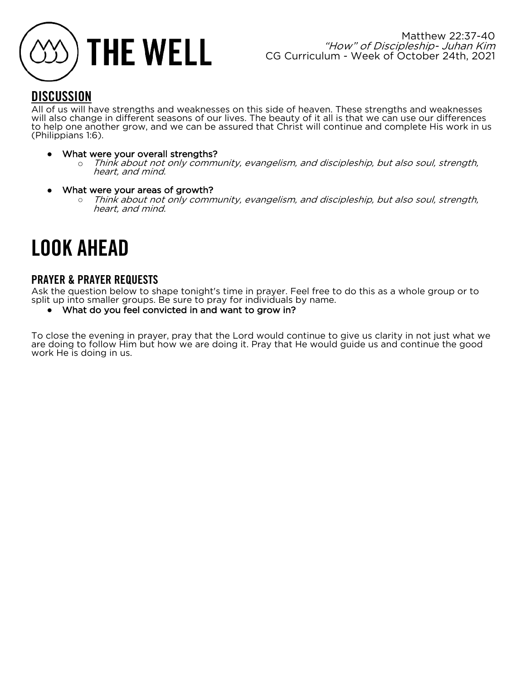

### **DISCUSSION**

All of us will have strengths and weaknesses on this side of heaven. These strengths and weaknesses will also change in different seasons of our lives. The beauty of it all is that we can use our differences to help one another grow, and we can be assured that Christ will continue and complete His work in us (Philippians 1:6).

- What were your overall strengths?
	- o Think about not only community, evangelism, and discipleship, but also soul, strength, heart, and mind.
- What were your areas of growth?
	- $\circ$  Think about not only community, evangelism, and discipleship, but also soul, strength, heart, and mind.

## LOOK AHEAD

### PRAYER & PRAYER REQUESTS

Ask the question below to shape tonight's time in prayer. Feel free to do this as a whole group or to split up into smaller groups. Be sure to pray for individuals by name.

● What do you feel convicted in and want to grow in?

To close the evening in prayer, pray that the Lord would continue to give us clarity in not just what we are doing to follow Him but how we are doing it. Pray that He would guide us and continue the good work He is doing in us.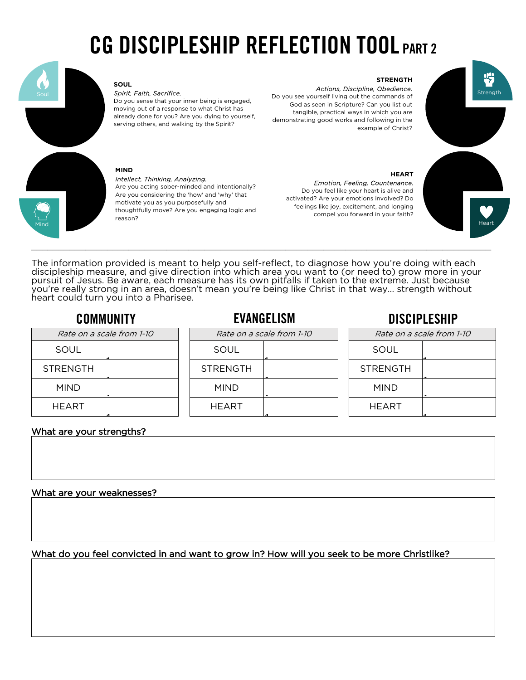## CG DISCIPLESHIP REFLECTION TOOL PART 2



### **SOUL**

Spirit, Faith, Sacrifice. Do you sense that your inner being is engaged, moving out of a response to what Christ has already done for you? Are you dying to yourself, serving others, and walking by the Spirit?

### **MIND**

Intellect, Thinking, Analyzing. Are you acting sober-minded and intentionally? Are you considering the 'how' and 'why' that motivate you as you purposefully and thoughtfully move? Are you engaging logic and reason?

### **STRENGTH**

Actions, Discipline, Obedience. Do you see yourself living out the commands of God as seen in Scripture? Can you list out tangible, practical ways in which you are demonstrating good works and following in the example of Christ?

### **HEART**

Emotion, Feeling, Countenance. Do you feel like your heart is alive and activated? Are your emotions involved? Do feelings like joy, excitement, and longing compel you forward in your faith?



The information provided is meant to help you self-reflect, to diagnose how you're doing with each discipleship measure, and give direction into which area you want to (or need to) grow more in your pursuit of Jesus. Be aware, each measure has its own pitfalls if taken to the extreme. Just because you're really strong in an area, doesn't mean you're being like Christ in that way… strength without heart could turn you into a Pharisee.

### COMMUNITY EVANGELISM DISCIPLESHIP

| Rate on a scale from 1-10 |  | Rate on a scale from 1-10 |  | Rate on a scale from 1-10 |  |
|---------------------------|--|---------------------------|--|---------------------------|--|
| SOUL                      |  | SOUL                      |  | SOUL                      |  |
| <b>STRENGTH</b>           |  | <b>STRENGTH</b>           |  | <b>STRENGTH</b>           |  |
| <b>MIND</b>               |  | <b>MIND</b>               |  | <b>MIND</b>               |  |
| HEART                     |  | <b>HEART</b>              |  | <b>HEART</b>              |  |

### What are your strengths?

### What are your weaknesses?

What do you feel convicted in and want to grow in? How will you seek to be more Christlike?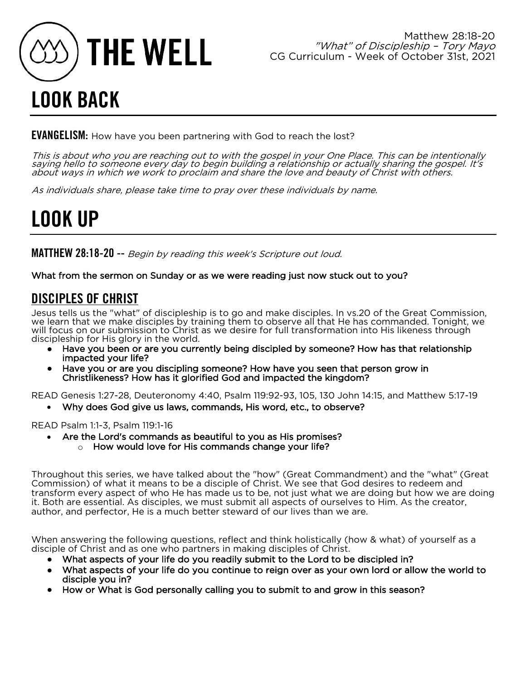

## LOOK BACK

**EVANGELISM:** How have you been partnering with God to reach the lost?

This is about who you are reaching out to with the gospel in your One Place. This can be intentionally saying hello to someone every day to begin building a relationship or actually sharing the gospel. It's about ways in which we work to proclaim and share the love and beauty of Christ with others.

As individuals share, please take time to pray over these individuals by name.

## LOOK UP

MATTHEW 28:18-20 -- Begin by reading this week's Scripture out loud.

What from the sermon on Sunday or as we were reading just now stuck out to you?

### DISCIPLES OF CHRIST

Jesus tells us the "what" of discipleship is to go and make disciples. In vs.20 of the Great Commission, we learn that we make disciples by training them to observe all that He has commanded. Tonight, we will focus on our submission to Christ as we desire for full transformation into His likeness through discipleship for His glory in the world.

- Have you been or are you currently being discipled by someone? How has that relationship impacted your life?
- Have you or are you discipling someone? How have you seen that person grow in Christlikeness? How has it glorified God and impacted the kingdom?

READ Genesis 1:27-28, Deuteronomy 4:40, Psalm 119:92-93, 105, 130 John 14:15, and Matthew 5:17-19

• Why does God give us laws, commands, His word, etc., to observe?

READ Psalm 1:1-3, Psalm 119:1-16

- Are the Lord's commands as beautiful to you as His promises?
	- o How would love for His commands change your life?

Throughout this series, we have talked about the "how" (Great Commandment) and the "what" (Great Commission) of what it means to be a disciple of Christ. We see that God desires to redeem and transform every aspect of who He has made us to be, not just what we are doing but how we are doing it. Both are essential. As disciples, we must submit all aspects of ourselves to Him. As the creator, author, and perfector, He is a much better steward of our lives than we are.

When answering the following questions, reflect and think holistically (how & what) of yourself as a disciple of Christ and as one who partners in making disciples of Christ.

- What aspects of your life do you readily submit to the Lord to be discipled in?
- What aspects of your life do you continue to reign over as your own lord or allow the world to disciple you in?
- How or What is God personally calling you to submit to and grow in this season?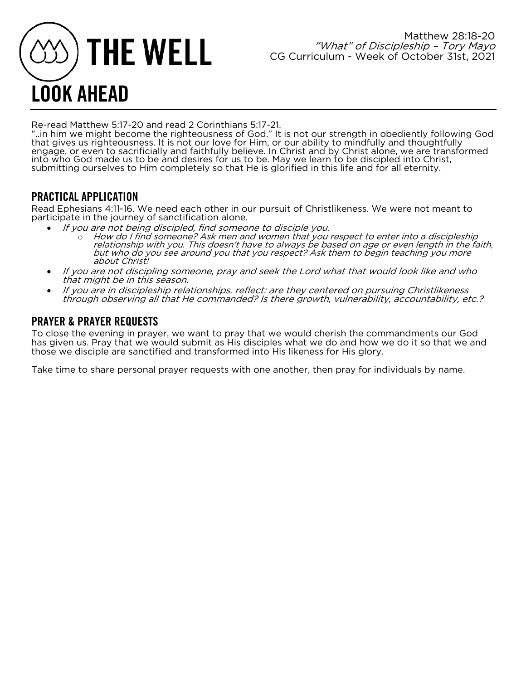# **THE WELL** LOOK AHEAD

Re-read Matthew 5:17-20 and read 2 Corinthians 5:17-21.<br>"..in him we might become the righteousness of God." It is not our strength in obediently following God that gives us righteousness. It is not our love for Him, or our ability to mindfully and thoughtfully engage, or even to sacrificially and faithfully believe. In Christ and by Christ alone, we are transformed into who God made us to be and desires for us to be. May we learn to be discipled into Christ, submitting ourselves to Him completely so that He is glorified in this life and for all eternity.

### PRACTICAL APPLICATION

Read Ephesians 4:11-16. We need each other in our pursuit of Christlikeness. We were not meant to participate in the journey of sanctification alone.

- If you are not being discipled, find someone to disciple you.
	- o How do I find someone? Ask men and women that you respect to enter into a discipleship relationship with you. This doesn't have to always be based on age or even length in the faith, but who do you see around you that you respect? Ask them to begin teaching you more about Christ!
- If you are not discipling someone, pray and seek the Lord what that would look like and who that might be in this season.
- If you are in discipleship relationships, reflect: are they centered on pursuing Christlikeness through observing all that He commanded? Is there growth, vulnerability, accountability, etc.?

### PRAYER & PRAYER REQUESTS

To close the evening in prayer, we want to pray that we would cherish the commandments our God has given us. Pray that we would submit as His disciples what we do and how we do it so that we and those we disciple are sanctified and transformed into His likeness for His glory.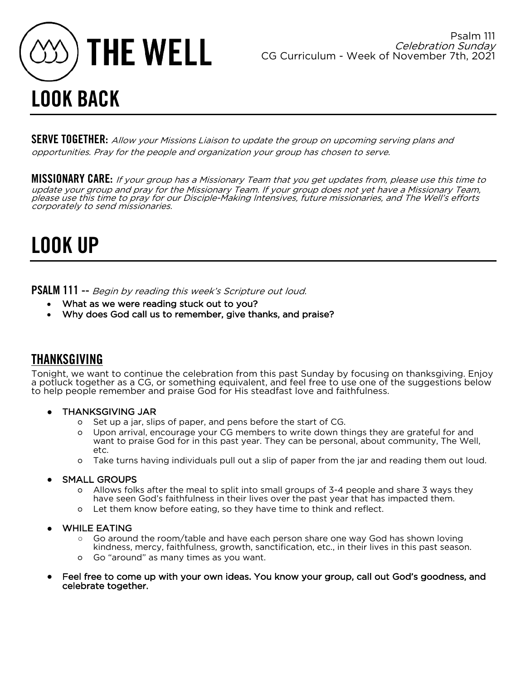

**SERVE TOGETHER:** Allow your Missions Liaison to update the group on upcoming serving plans and opportunities. Pray for the people and organization your group has chosen to serve.

MISSIONARY CARE: If your group has a Missionary Team that you get updates from, please use this time to update your group and pray for the Missionary Team. If your group does not yet have a Missionary Team, please use this time to pray for our Disciple-Making Intensives, future missionaries, and The Well's efforts corporately to send missionaries.

## LOOK UP

**PSALM 111 --** Begin by reading this week's Scripture out loud.

- What as we were reading stuck out to you?
- Why does God call us to remember, give thanks, and praise?

### THANKSGIVING

Tonight, we want to continue the celebration from this past Sunday by focusing on thanksgiving. Enjoy a potluck together as a CG, or something equivalent, and feel free to use one of the suggestions below to help people remember and praise God for His steadfast love and faithfulness.

- THANKSGIVING JAR
	- Set up a jar, slips of paper, and pens before the start of CG.
	- Upon arrival, encourage your CG members to write down things they are grateful for and want to praise God for in this past year. They can be personal, about community, The Well, etc.
	- Take turns having individuals pull out a slip of paper from the jar and reading them out loud.
- **SMALL GROUPS** 
	- Allows folks after the meal to split into small groups of 3-4 people and share 3 ways they have seen God's faithfulness in their lives over the past year that has impacted them.
	- Let them know before eating, so they have time to think and reflect.
- WHILE EATING
	- Go around the room/table and have each person share one way God has shown loving kindness, mercy, faithfulness, growth, sanctification, etc., in their lives in this past season.
	- Go "around" as many times as you want.
- Feel free to come up with your own ideas. You know your group, call out God's goodness, and celebrate together.